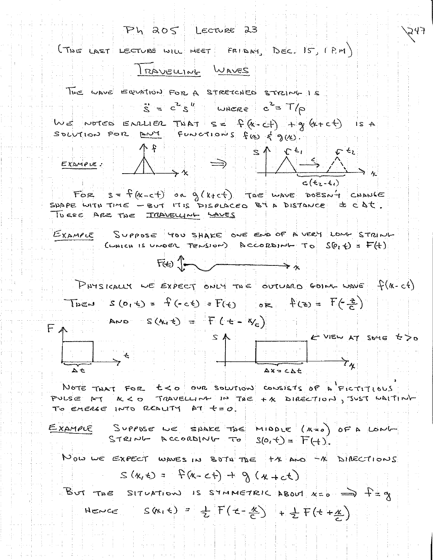Ph 205 Lecture 23 247 (THE LAST LECTURE WILL MEET FRIDAY DEC. IS, (P.M) IRAVELLING WAVES THE WAVE EQUATION FOR A STRETCHED STRING IS  $S = c^2 S''$  UNERE  $c^2 = T/\rho$ WE NOTES ENRUER THAT SE  $P(k-d) + q(k+c)$  is a SOLUTION FOR ANY FUNCTIONS FUD & g(K).  $rac{1}{\sqrt{1-\frac{1}{2}}}\int_{0}^{1}\frac{1}{\sqrt{1-\frac{1}{2}}}\frac{1}{\sqrt{1-\frac{1}{2}}}\int_{0}^{1}\frac{1}{\sqrt{1-\frac{1}{2}}}\int_{0}^{1}\frac{1}{\sqrt{1-\frac{1}{2}}}\frac{1}{\sqrt{1-\frac{1}{2}}}\frac{1}{\sqrt{1-\frac{1}{2}}}\frac{1}{\sqrt{1-\frac{1}{2}}}\frac{1}{\sqrt{1-\frac{1}{2}}}\frac{1}{\sqrt{1-\frac{1}{2}}}\frac{1}{\sqrt{1-\frac{1}{2}}}\frac{1}{\sqrt{1-\frac{1}{2}}}\frac{1}{\sqrt{$  $c(t_{2}-t_{1})$ FOR  $s = f(x-c+)$  on  $g(x+c)$  The wave poesn't change SUAPE WITH TIME - BUT IT IS PISPLACED BY A DISTANCE = CDC. TUESE ARE THE IMAVELLING WAVES EXAMPLE SUPPOSE 400 SHAKE ONE END OF A VERY LONG STRING CUNICH IS UNDER TENSION) ACCORDING TO  $SO_1 \oplus = F(+)$  $F(t)$   $\left\{\begin{matrix} 1 & 1 \\ 1 & 1 \end{matrix}\right\}$ PHYSICALLY WE EXPECT ONLY THE OUTUARD GOING WAVE f(K-cf) THEN S(OIL) =  $f(-c) = F(c)$  or  $f(a) = F(\frac{a}{c})$ AND  $S(M, t) = F(t+|N_c)$ FA ... - & VIEW AT SOME to DO  $\begin{array}{ccc} & & \downarrow & \downarrow \\ \hline & & & \uparrow_\chi \end{array}$  $\Delta x = C \Delta t$ NOTE THAT FOR  $t < 0$  our solution consists of a FICTITIOUS PULSE AT K<0 TRAVELLING IN THE +X DIRECTION, JUST WAITING TO EMERGE INTO REDUITY AT +=0 Suppose we spake the mindle  $(x=0)$  of a lowl-<br>STRING ACCORDING TO  $S(0, t) = F(t)$ . EXAMPLE NOW WE EXPECT WAVES IN BOTH THE +X AND -X DIRECTIONS  $S(x, t) = F(x - ct) + 9(x + ct)$ BUT THE SITUATION IS STMMETRIC ABOUT  $x = 5$   $\Rightarrow$   $\Rightarrow$   $x = 9$ HENCE  $S(k_1 t) = \frac{1}{2} F(t - \frac{k}{C}) + \frac{1}{2} F(t + \frac{k}{C})$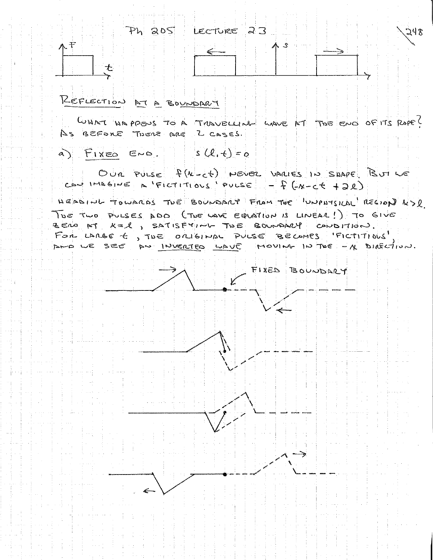Ph 205 LECTURE 23 248  $-F$ REFLECTION AT A BOUNDARY WHAT HAPPENS TO A TROUBLLING WAVE AT TWE END OF IT'S ROPE! AS BEFORE THERE ARE Z CASES.  $\alpha$   $F_{1X} = 6$   $F_{1X} = 6$ OUR PULSE f(K-ct) NEVER VARIES IN SHAPE BUT LE CAN IMAGINE A FICTITIOUS PULSE - f (-x-ct +2R) HEADING TOWARDS TUE BOUNDARY FROM THE UNPOSIDE REGION RSD TOE TWO PULSES ADD (TOE WAVE EQUATION IS LINEAR!) TO GIVE ZENO AT K= 2, SATISFYING TOE BOUNDARY CONDITION. FOR LARGE , TUE ORIGINAL PULSE BECAMES FICTITIOUS DRO WE SEE DN INVERTED WAVE MOVING IN THE - A DIRECTION. FIXED BOUNDARY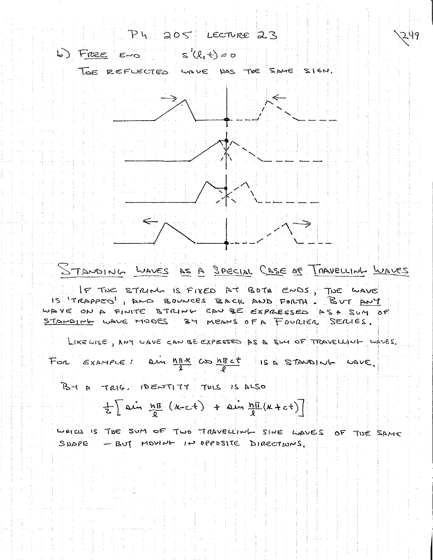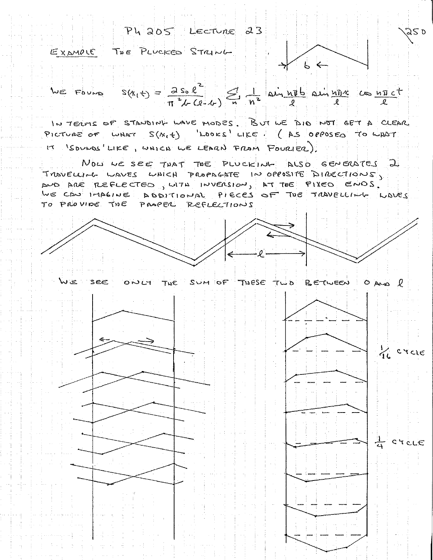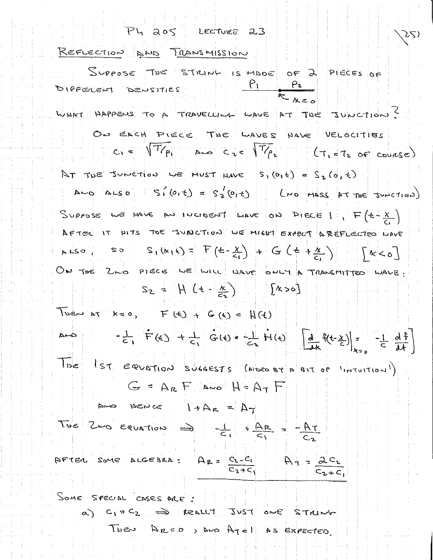Ph abs LECTURE 23

REFLECTION AND TRANSMISSION

Suppose THE STRINK IS MADE OF 2 PIECES OF  $\frac{\rho_1}{\rho_2}$ DIFFERENT DENSITIES WHAT HAPPENS TO A TRAVELUME WAVE AT THE JUNCTION? ON EACH PLECE THE WAVES HAVE VELOCITIES  $c_1 = \sqrt{T/\rho_1}$  And  $c_2 = \sqrt{T/\rho_2}$  (T, e.T. of course) At THE SUNCTION WE MUST HAVE  $S_1(6, \epsilon) = S_2(6, \epsilon)$ And ALSO  $S_{1}(0,t) = S_{2}(0,t)$  lies mass of the subctions) SUPPOSE WE HAVE AN INCIDENT WAVE ON PIECE 1,  $F(t-\frac{x}{C})$ AFTER IT MITS THE JUNCTION WE MIGHT EXPECT AREFLECTED WAVE  $RHS9$ ,  $SO(S_1(k_1t) = F(t-\frac{x}{C_1}) + G(t+\frac{x}{C_1})$   $|K<0|$ ON THE 2 NO PIECE WE WILL WAVE ONLY A TRANSMITTED WAVE .  $S_2 = [H (1 - \frac{k}{2})]$  [x > 0] Tuesday x=0,  $F(G) + G(G) = N(G)$  $-\frac{1}{c_1}$   $\vec{F}(c)$  +  $\frac{1}{c_1}$   $\vec{G}(t)$  =  $-\frac{1}{c_2}$   $\vec{H}(t)$   $\left[\frac{d}{dx}f(t-\frac{y}{c})\right] = -\frac{1}{c_2} \frac{d^2f}{dt}$ THE IST EQUATION SUGGESTS (ALDED BY A BIT OF INTUITION)  $G = A_R F$  AND  $H = A_T F$ 

|       | トレロ<br>ついこん |                                                                                          | $+A_R = A_T$ |           |             |  |                 |  |
|-------|-------------|------------------------------------------------------------------------------------------|--------------|-----------|-------------|--|-----------------|--|
|       |             | The 2 o equation $\Rightarrow$ $-\frac{1}{c_1} + \frac{\Delta R}{c_1} = -\frac{RT}{c_2}$ |              |           |             |  |                 |  |
|       |             |                                                                                          |              |           |             |  |                 |  |
| AFTER |             | SOME ALGEBRA :                                                                           |              | $A_{2}$ = | $C_1 - C_1$ |  | 2c <sub>2</sub> |  |
|       |             |                                                                                          |              |           |             |  | $C_2 + C_1$     |  |

SOME SPECIAL CASES ARE: a) C1 = C2 => REALLY JUST ONE STRING

THEN ARCO, AND ATEL AS EXPECTED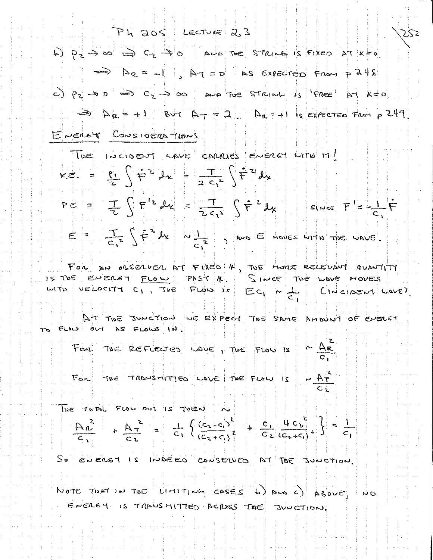Ph 205 Lecture 2,3 ZSZ b)  $p_z \rightarrow \infty$  =>  $c_z \rightarrow o$  and The strike is fixed at kee  $\Rightarrow$   $\Delta z = -1$ ,  $\Delta T = 0$  as expected from p248 c) P2 - D D => C2 -> as a fact The STRINH is 'FREE' AT K=0  $\Rightarrow$   $A_R = +1$  But  $A_T = 2$   $A_R = +1$  is expected From p 249 ENERGY CONSIDERATIONS

The incident which cannot energy with it!  $k\epsilon = \frac{\rho_1}{7} \left( \frac{1}{T^2} L_x - \frac{T}{2C^2} \right) \frac{1}{T^2} L_y$  $PE = \frac{1}{2} \int F^{12} dx = \frac{1}{2c_1^2} \int F^{2} dx$  $S_{\text{true}}$   $\uparrow$   $\downarrow$   $\downarrow$   $\uparrow$  $E = \frac{1}{C_1^2} \int \dot{F}^2 dx$   $N \frac{11}{C_1^2}$  , and  $E$  moves with the wave.

FOR AN OBSERVER AT FIXED & TWE MORE RELEVANT QUANTITY IS TUE ENERGY FLOW PAST N. SINCE THE WAVE MOVES with velocity  $c_1$ , The Flow is  $Ec_1 \times \frac{1}{C_1}$  (IN close M wave)

AT THE JUNCTION WE EXPECT TOE SAME AMOUNT OF ENERGY TO FLOW OUT AS FLOWS IN.

For TVE REFLECTED LAVE, TWE FLOW IS  $\sim \frac{AE}{C}$ 

 $- \frac{Ar}{f}$ FOR THE TROODSMITTED LAVE | THE FLOW IS

The TOTAL FLOW OUT IS THEN N

 $\left[\frac{A_n^2}{C_1} + \frac{A_n^2}{C_2} - \frac{1}{C_1} \left\{ \frac{(c_1-c_1)^2}{(c_2+c_1)^2} + \frac{c_1}{C_2} \frac{4}{(c_1+c_1)^2} \right\} - \frac{1}{C_1} \right]$ 

SO ENERGY IS INDEED CONSERVED AT TOE JUNCTION.

NOTE TISKT IN THE LIMITING CASES WE ARE STOURING ENERGY IS TARNSMITTED ACROSS THE JUNCTION.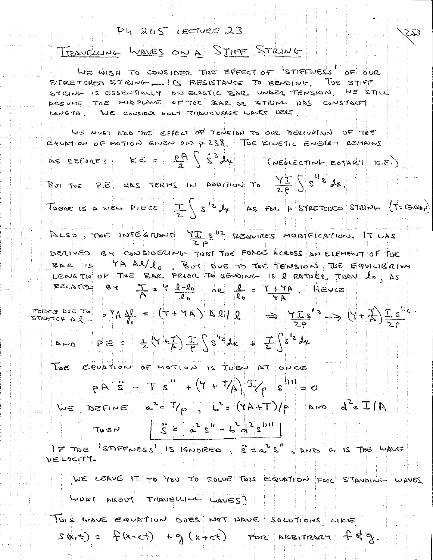$Ph$   $205$  LECTURE  $23$ TRAVELLING WAVES ON A STIFF STRING WE WISH TO CONSIDER THE EFFECT OF STIFFNESS OF OUR STRETCHED STRING \_\_ ITS RESISTANCE TO BENDING. TUE STIFF STRING IS ESSENTIALLY AN ELASTIC BAR UNDER TENSION WE STILL ASSUME TOE MIDPLANE OF TOE BAR OR STRUM DAS CONSTANT LENGTH, WE CONSIDER ONLY TRANSVERSE WAVES NERE WE MUST ADD THE EFFECT OF TENSION TO OVE DECLUATION OF TUE EQUATION OF MOTION GIVEN ON P 238. THE KINETIC ENERGY REMAINS AS BEFORE:  $KE = \frac{pA}{2} \int S^2 d\mu$ (NEGLECTING ROTARY K.E.) THERE IS A NEW PIECE  $\frac{1}{2}\int s^{12} dx$  As FOR A STRETCHED STRING  $(r = \frac{1}{2})$ ALSO, THE INTEGRAND YIS REQUIRES MONTHCATION. IT LAS DECLIVED BY CONSIDERING TIVAT THE FORCE ACROSS AN ELEMENT OF THE YA Al/lo BUT DUE TO THE TENSION, THE EQUILIBITION  $BRA$   $IS$ LENGTIO OF THE BAR PRIOR TO GENDING IS 2 RATISER TWON lo, AS  $BY = \frac{1}{A} = \frac{1}{A} \frac{1}{a} = \frac{1}{a}$ RELNTED **HEVEE** FORCE DUE TO  $\left(1+\frac{1}{6}\right)$   $\frac{1}{26}$  =  $\left(1+\frac{1}{6}\right)$   $\Delta\Omega$   $\left(0,1\right)$   $\Rightarrow$   $\frac{1}{26}$   $\left(1+\frac{1}{6}\right)$   $\frac{1}{26}$   $\left(1+\frac{1}{6}\right)$  $\mu_{k} = \frac{1}{2} \left| \frac{1}{2} \right| + \frac{1}{2} \left| \frac{1}{2} \right| + \frac{1}{2} \left| \frac{1}{2} \right| + \frac{1}{2} \left| \frac{1}{2} \right| + \frac{1}{2} \left| \frac{1}{2} \right| + \frac{1}{2} \left| \frac{1}{2} \right| + \frac{1}{2} \left| \frac{1}{2} \right| + \frac{1}{2} \left| \frac{1}{2} \right| + \frac{1}{2} \left| \frac{1}{2} \right| + \frac{1}{2} \left| \frac{1}{2} \right| + \frac{1$ TOE COUPTION OF MOTION IS TUEN AT ONCE  $P P B = \frac{1}{3} \left[ \frac{1}{2} \left( \frac{1}{4} + \frac{1}{4} \right) + \left( \frac{1}{4} + \frac{1}{4} \right) \right] \left[ \frac{1}{4} \right]$ WE DEFINE a<sup>2</sup>= T/p 1<sup>2</sup>= (YA+T)/p and d<sup>2</sup>= I/A  $\left| \begin{array}{ccc} \n\frac{1}{2} & \frac{1}{2} & \frac{1}{2} & \frac{1}{2} & \frac{1}{2} & \frac{1}{2} & \frac{1}{2} & \frac{1}{2} & \frac{1}{2} & \frac{1}{2} & \frac{1}{2} & \frac{1}{2} & \frac{1}{2} & \frac{1}{2} & \frac{1}{2} & \frac{1}{2} & \frac{1}{2} & \frac{1}{2} & \frac{1}{2} & \frac{1}{2} & \frac{1}{2} & \frac{1}{2} & \frac{1}{2} & \frac{1}{2} & \frac{1}{2} & \frac{1}{2} &$ IF THE STIFFNESS' IS IGNORED,  $\hat{s}^2 = a^2 \hat{s}^4$ , AND a IS THE WAVE VELOCITY. WE LEAVE IT TO YOU TO SOLVE THIS EQUATION FOR STANDING WAVES WHAT ABOUT TRAVELLING LIAVES? THIS WAVE EQUATION DOES NOT HAVE SOLUTIONS LIKE

 $S$  (x (c) =  $F(x-ct) + g(x+ct)$  For AREITRARY  $f \notin g$ .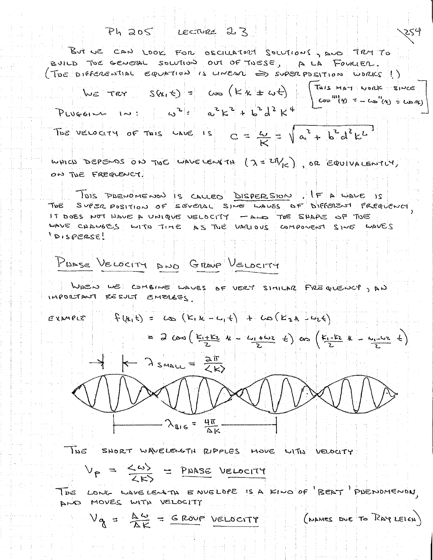$Ph$  205 LECTURE 23 But we CAN LOOK FOR OSCILLATORY SOLUTIONS, AND TRY TO BUILD TOE GENERAL SOLVIION OUT OF TISESE, A LA FOURIER. (TOE DIFFERENTIAL EQUATION IS LINEAR => SUPERPOSITION WORKS!)  $W_{\epsilon}$   $\tau_{\epsilon}$   $S(x, \epsilon)$  =  $\omega$   $(Kx + \omega t)$   $\begin{bmatrix} \tau_{\text{abs}} & \tau_{\text{max}} & \tau_{\text{max}} \\ \tau_{\text{max}} & \tau_{\text{max}} & \tau_{\text{max}} \end{bmatrix}$ PLUGGING IN:  $\omega^{2}$ =  $\alpha^{2}k^{2}+b^{2}d^{2}k^{4}$ The velocity of This Lave is  $C = \frac{1}{12} = \sqrt{a^2 + b^2 d^2 k^2}$ WHICH DEPENDS ON THE WAVE LENGTH  $(2 \le 20$ / $\epsilon$ ), OR EQUIVALENTLY, ON TUE FREQUENCY. TOIS PAENOMENON IS CALLED DISPERSION . IF A WALE IS THE SUPER POSITION OF SEVERAL SING LAVES OF DIFFERENT FREQUENCY IT DOES NOT HAVE A UNIQUE VELOCITY -AR TOE SHAPE OF TOE DOWN SWIS TURING WALL AS THE UPILIOUS COMPONENT SINE WAVES  $32959210'$ PUASE VELOCITY AND GROUP VELOCITY WAEN WE COMBINE WAVES OF VERY SIMILAR FREQUENCY, AN IMPORTANT RESULT EMERGES  $E$   $x \wedge P$   $E$   $(x_1 t) =$   $(x_2 (k_1 k - c_1 t) + c_0 (k_2 k - c_2 t)$  $= 2 cos(\frac{k_1+k_2}{2}k - \frac{ln_1+ln_2}{2}k)$  as  $(\frac{k_1+k_2}{2}k - \frac{ln_1+ln_2}{2}k)$  $\frac{1}{2}$   $\leftarrow$   $2$  small =  $\frac{2\pi}{2}$ 

 $-\lambda_{B16} = \frac{4\pi}{\Delta k}$ 

INE SHORT WAVELENGTH RIPPLES HOVE WITH VELOCITY

$$
V_P = \frac{\langle \omega \rangle}{\sqrt{N}} = P_{\text{BASE}} \text{ VencoderY}
$$

THE LONG WAVELENTIN ENVELOPE IS A KINO OF "BEAT" PUENDMENON. AND MOVES WITH VELOCITY

 $V_{\alpha} = \frac{\Delta \omega}{\Delta K} =$  SROVE VELOCITY (MANES DUE TO RAY LEICH)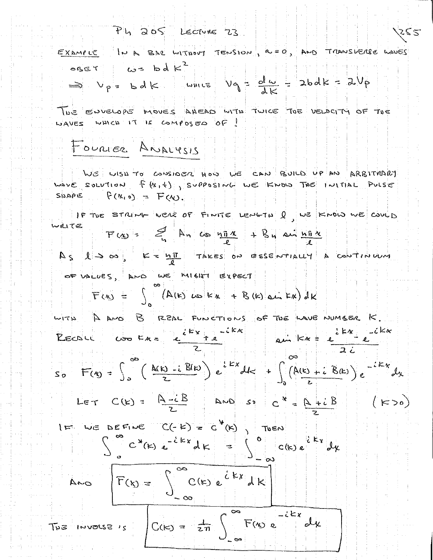Ph 205 LECTURE 23

EXAMPLE IN A BAR WITHOUT TENSION, A = 0, AND TRANSVERSE WAVES  $\cos \epsilon t$   $\omega z$  bd  $k^2$  $V_{p}$  =  $bdc$  which  $V_{q}$  =  $\frac{d\omega}{dV}$  =  $2bdk = 2V_{p}$ 

TWE ENVELOPE MOVES ANEAD WITH TWICE TWE VELOCITY OF TOE WAVES WHICH IT IS COMPOSED OF!

## FOURIER ANALYSIS

NUS LISA TO CONSINER HOW WE CAN BUILD UP AN ARBITMARY WAVE SOLVIION f (x, t) SUPPOSING WE KNOW TOE INITIAL PULSE SILAPE  $F(N, 0) = F(N)$ 

IF THE STRING WERE OF FINITE LENGTH Q WE KNOW WE COULD WRITE  $F(x) =$   $\leq$   $N_n$  as  $n\overline{x} + \overline{B_n}$  and  $n\overline{x}$ 

$$
A_{S} \cup B_{S} \cup C = \underline{h_{I}^{T}} \quad \text{These so } S \text{ is the initial distribution}
$$

$$
F(x) = \int_{0}^{\infty} (A(x) \cos kx + B(x) \sin kx) dK
$$

WITH A AND B REAL FUNCTIONS OF THE LAVE NUMBER K. RECOLLE COOKERE L'EXTREMENT RUN KNE L'EXTREMENT  $S_{p}$   $F(y) = \int_{0}^{\infty} \left( \frac{M(x) - i}{x} B(x) \right) e^{i kx} dx + \int_{0}^{\infty} (A(x) + i B(x)) e^{-i kx} dx$ 

$$
Let C(E) = \overline{A - iB}
$$
 and  $s = \overline{A + iB}$ 

$$
F(x) = \int_{-\infty}^{\infty} C(k) e^{i kx} dk
$$

 $\mathcal{D}^{\bullet}$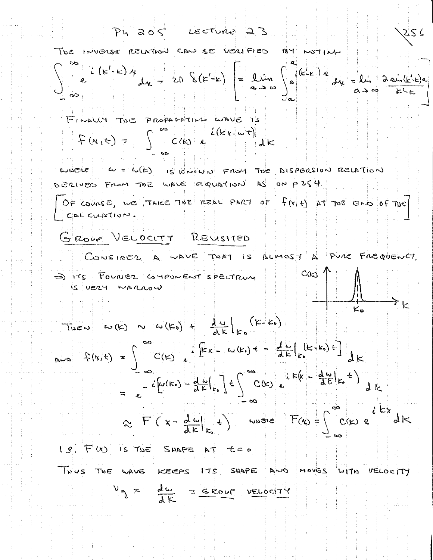Ph 205 Lecture 23 256 The INVERSE RELATION CAN BE VERTFIED BY NOTING  $\int_{0}^{\infty} e^{i(k'-k)x} dx = 2\pi \int_{0}^{k}(k'-k) dx = 2\pi \int_{0}^{k} k(k-k)x dx = k\pi \int_{0}^{k} k(k-k)x dx$ FINALLY THE PROPAGATING WAVE IS  $P(k_{1}t)=\int_{0}^{\infty}C(k_{1}e^{-k_{1}k_{1}t})dk_{1}$ WHERE  $\omega = \omega(\mathbf{E})$  is crown From The DISPERSION RELATION DERIVED FROM THE WAVE EQUATION AS ON PZS4. OF COURSE, WE TAKE THE REAL PART OF  $f(x, t)$  at The END OF THE CAL CULATION GROUP VELOCITY REVISITED CONSIDER A WAVE TIST IS ALMOST A PULL FREQUENCY  $C(\kappa)$ => ITS FOUNCE COMPONENT SPECTRUM is very warrow TUEN WIRD N W (KO) + 14 (K-KO)  $= e^{-c\left[\omega(k_0) - \frac{d\omega}{dE}\right]E_s} + \int_{0}^{\infty} C(k_0) e^{-k\left[\frac{d\omega}{dE}\right]E_s}$  $\approx$  F (x- $\frac{d\omega}{dE}|_{E}$  +) where  $F(\omega) = \int_{C}^{\infty} C(\omega) e^{iE\omega} dE$  $1.8.7$  (K) Is THE SHAPE AT  $t=0$ THUS THE WAVE KEEPS ITS SHAPE AND MOVES WITH VELOCITY  $V_{\gamma}$  =  $\frac{du}{dE}$  = GROUP VELOCITY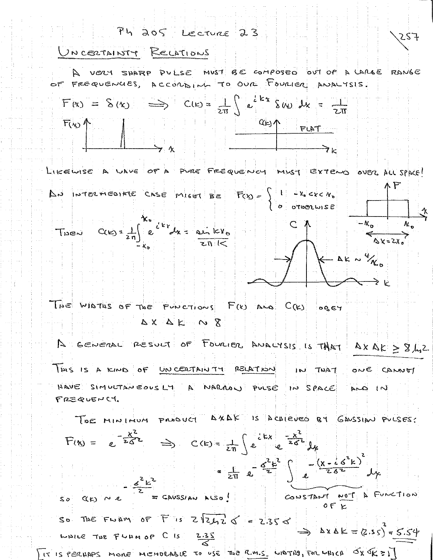

IT IS PERUAPS MONE MEMORABLE TO USE THE R.M.S. WATNS, FOR WHICH OX OR = 1]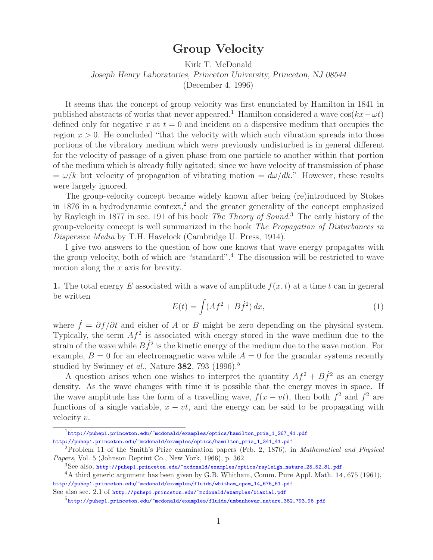## **Group Velocity**

Kirk T. McDonald *Joseph Henry Laboratories, Princeton University, Princeton, NJ 08544*

(December 4, 1996)

It seems that the concept of group velocity was first enunciated by Hamilton in 1841 in published abstracts of works that never appeared.<sup>1</sup> Hamilton considered a wave  $\cos(kx-\omega t)$ defined only for negative x at  $t = 0$  and incident on a dispersive medium that occupies the region  $x > 0$ . He concluded "that the velocity with which such vibration spreads into those portions of the vibratory medium which were previously undisturbed is in general different for the velocity of passage of a given phase from one particle to another within that portion of the medium which is already fully agitated; since we have velocity of transmission of phase  $=\omega/k$  but velocity of propagation of vibrating motion  $=\frac{d\omega}{dk}$ ." However, these results were largely ignored.

The group-velocity concept became widely known after being (re)introduced by Stokes in 1876 in a hydrodynamic context,<sup>2</sup> and the greater generality of the concept emphasized by Rayleigh in 1877 in sec. 191 of his book *The Theory of Sound*. <sup>3</sup> The early history of the group-velocity concept is well summarized in the book *The Propagation of Disturbances in Dispersive Media* by T.H. Havelock (Cambridge U. Press, 1914).

I give two answers to the question of how one knows that wave energy propagates with the group velocity, both of which are "standard".<sup>4</sup> The discussion will be restricted to wave motion along the  $x$  axis for brevity.

**1.** The total energy E associated with a wave of amplitude  $f(x, t)$  at a time t can in general be written

$$
E(t) = \int (Af^2 + B\dot{f}^2) dx,\tag{1}
$$

where  $\dot{f} = \partial f / \partial t$  and either of A or B might be zero depending on the physical system. Typically, the term  $Af^2$  is associated with energy stored in the wave medium due to the strain of the wave while  $B\dot{f}^2$  is the kinetic energy of the medium due to the wave motion. For example,  $B = 0$  for an electromagnetic wave while  $A = 0$  for the granular systems recently studied by Swinney *et al.*, Nature **382**, 793 (1996).<sup>5</sup>

A question arises when one wishes to interpret the quantity  $Af^2 + B\dot{f}^2$  as an energy density. As the wave changes with time it is possible that the energy moves in space. If the wave amplitude has the form of a travelling wave,  $f(x - vt)$ , then both  $f^2$  and  $\dot{f}^2$  are functions of a single variable,  $x - vt$ , and the energy can be said to be propagating with velocity v.

 $1$ http://puhep1.princeton.edu/~mcdonald/examples/optics/hamilton\_pria\_1\_267\_41.pdf http://puhep1.princeton.edu/~mcdonald/examples/optics/hamilton\_pria\_1\_341\_41.pdf

<sup>2</sup>Problem 11 of the Smith's Prize examination papers (Feb. 2, 1876), in *Mathematical and Physical Papers*, Vol. 5 (Johnson Reprint Co., New York, 1966), p. 362.

<sup>3</sup>See also, http://puhep1.princeton.edu/~mcdonald/examples/optics/rayleigh\_nature\_25\_52\_81.pdf

<sup>4</sup>A third generic argument has been given by G.B. Whitham, Comm. Pure Appl. Math. **14**, 675 (1961), http://puhep1.princeton.edu/~mcdonald/examples/fluids/whitham\_cpam\_14\_675\_61.pdf

See also sec. 2.1 of http://puhep1.princeton.edu/~mcdonald/examples/biaxial.pdf

 $5$ http://puhep1.princeton.edu/~mcdonald/examples/fluids/umbanhowar\_nature\_382\_793\_96.pdf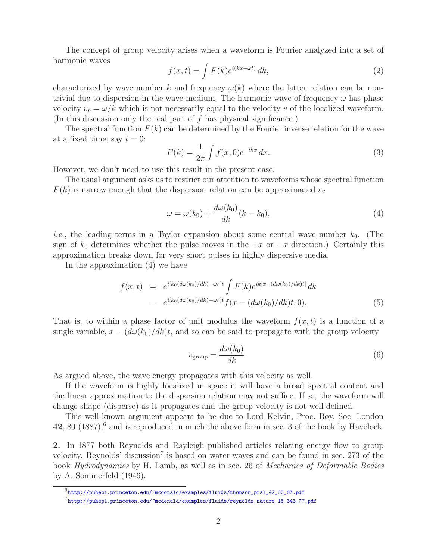The concept of group velocity arises when a waveform is Fourier analyzed into a set of harmonic waves

$$
f(x,t) = \int F(k)e^{i(kx - \omega t)} dk,
$$
\n(2)

characterized by wave number k and frequency  $\omega(k)$  where the latter relation can be nontrivial due to dispersion in the wave medium. The harmonic wave of frequency  $\omega$  has phase velocity  $v_p = \omega/k$  which is not necessarily equal to the velocity v of the localized waveform. (In this discussion only the real part of  $f$  has physical significance.)

The spectral function  $F(k)$  can be determined by the Fourier inverse relation for the wave at a fixed time, say  $t = 0$ :

$$
F(k) = \frac{1}{2\pi} \int f(x,0)e^{-ikx} dx.
$$
 (3)

However, we don't need to use this result in the present case.

The usual argument asks us to restrict our attention to waveforms whose spectral function  $F(k)$  is narrow enough that the dispersion relation can be approximated as

$$
\omega = \omega(k_0) + \frac{d\omega(k_0)}{dk}(k - k_0),\tag{4}
$$

*i.e.*, the leading terms in a Taylor expansion about some central wave number  $k_0$ . (The sign of  $k_0$  determines whether the pulse moves in the  $+x$  or  $-x$  direction.) Certainly this approximation breaks down for very short pulses in highly dispersive media.

In the approximation (4) we have

$$
f(x,t) = e^{i[k_0(d\omega(k_0)/dk) - \omega_0]t} \int F(k)e^{ik[x - (d\omega(k_0)/dk)t]} dk
$$
  
= 
$$
e^{i[k_0(d\omega(k_0)/dk) - \omega_0]t} f(x - (d\omega(k_0)/dk)t, 0).
$$
 (5)

That is, to within a phase factor of unit modulus the waveform  $f(x, t)$  is a function of a single variable,  $x - (d\omega(k_0)/dk)t$ , and so can be said to propagate with the group velocity

$$
v_{\rm group} = \frac{d\omega(k_0)}{dk} \,. \tag{6}
$$

As argued above, the wave energy propagates with this velocity as well.

If the waveform is highly localized in space it will have a broad spectral content and the linear approximation to the dispersion relation may not suffice. If so, the waveform will change shape (disperse) as it propagates and the group velocity is not well defined.

This well-known argument appears to be due to Lord Kelvin, Proc. Roy. Soc. London 42, 80 (1887),<sup>6</sup> and is reproduced in much the above form in sec. 3 of the book by Havelock.

**2.** In 1877 both Reynolds and Rayleigh published articles relating energy flow to group velocity. Reynolds' discussion<sup>7</sup> is based on water waves and can be found in sec. 273 of the book *Hydrodynamics* by H. Lamb, as well as in sec. 26 of *Mechanics of Deformable Bodies* by A. Sommerfeld (1946).

 $^6$ http://puhep1.princeton.edu/~mcdonald/examples/fluids/thomson\_prsl\_42\_80\_87.pdf

 $^{7}$ http://puhep1.princeton.edu/~mcdonald/examples/fluids/reynolds\_nature\_16\_343\_77.pdf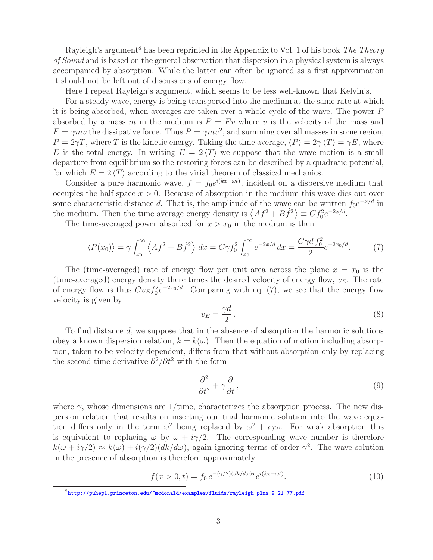Rayleigh's argument<sup>8</sup> has been reprinted in the Appendix to Vol. 1 of his book *The Theory of Sound* and is based on the general observation that dispersion in a physical system is always accompanied by absorption. While the latter can often be ignored as a first approximation it should not be left out of discussions of energy flow.

Here I repeat Rayleigh's argument, which seems to be less well-known that Kelvin's.

For a steady wave, energy is being transported into the medium at the same rate at which it is being absorbed, when averages are taken over a whole cycle of the wave. The power P absorbed by a mass m in the medium is  $P = Fv$  where v is the velocity of the mass and  $F = \gamma mv$  the dissipative force. Thus  $P = \gamma mv^2$ , and summing over all masses in some region,  $P = 2\gamma T$ , where T is the kinetic energy. Taking the time average,  $\langle P \rangle = 2\gamma \langle T \rangle = \gamma E$ , where E is the total energy. In writing  $E = 2 \langle T \rangle$  we suppose that the wave motion is a small departure from equilibrium so the restoring forces can be described by a quadratic potential, for which  $E = 2 \langle T \rangle$  according to the virial theorem of classical mechanics.

Consider a pure harmonic wave,  $f = f_0 e^{i(kx - \omega t)}$ , incident on a dispersive medium that occupies the half space  $x > 0$ . Because of absorption in the medium this wave dies out over some characteristic distance d. That is, the amplitude of the wave can be written  $f_0e^{-x/d}$  in the medium. Then the time average energy density is  $\langle Af^2 + B\dot{f}^2 \rangle \equiv Cf_0^2 e^{-2x/d}$ .<br>The time averaged power absorbed for  $x > x$ , in the medium is then

The time-averaged power absorbed for  $x > x_0$  in the medium is then

$$
\langle P(x_0) \rangle = \gamma \int_{x_0}^{\infty} \left\langle Af^2 + B \dot{f}^2 \right\rangle dx = C \gamma f_0^2 \int_{x_0}^{\infty} e^{-2x/d} dx = \frac{C \gamma d f_0^2}{2} e^{-2x_0/d}.
$$
 (7)

The (time-averaged) rate of energy flow per unit area across the plane  $x = x_0$  is the (time-averaged) energy density there times the desired velocity of energy flow,  $v_E$ . The rate of energy flow is thus  $Cv_E f_0^2 e^{-2x_0/d}$ . Comparing with eq. (7), we see that the energy flow velocity is given by

$$
v_E = \frac{\gamma d}{2}.\tag{8}
$$

To find distance d, we suppose that in the absence of absorption the harmonic solutions obey a known dispersion relation,  $k = k(\omega)$ . Then the equation of motion including absorption, taken to be velocity dependent, differs from that without absorption only by replacing the second time derivative  $\partial^2/\partial t^2$  with the form

$$
\frac{\partial^2}{\partial t^2} + \gamma \frac{\partial}{\partial t},\tag{9}
$$

where  $\gamma$ , whose dimensions are 1/time, characterizes the absorption process. The new dispersion relation that results on inserting our trial harmonic solution into the wave equation differs only in the term  $\omega^2$  being replaced by  $\omega^2 + i\gamma\omega$ . For weak absorption this is equivalent to replacing  $\omega$  by  $\omega + i\gamma/2$ . The corresponding wave number is therefore  $k(\omega + i\gamma/2) \approx k(\omega) + i(\gamma/2)(dk/d\omega)$ , again ignoring terms of order  $\gamma^2$ . The wave solution in the presence of absorption is therefore approximately

$$
f(x > 0, t) = f_0 e^{-(\gamma/2)(dk/d\omega)x} e^{i(kx - \omega t)}.
$$
 (10)

 $8$ http://puhep1.princeton.edu/~mcdonald/examples/fluids/rayleigh\_plms\_9\_21\_77.pdf